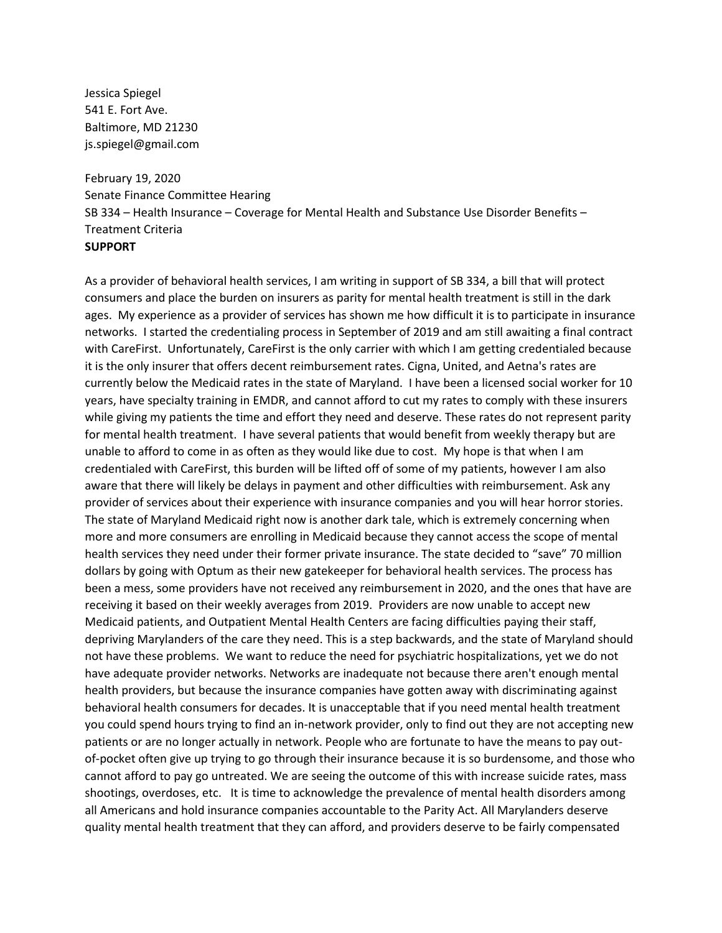Jessica Spiegel 541 E. Fort Ave. Baltimore, MD 21230 js.spiegel@gmail.com

February 19, 2020 Senate Finance Committee Hearing SB 334 – Health Insurance – Coverage for Mental Health and Substance Use Disorder Benefits – Treatment Criteria **SUPPORT**

As a provider of behavioral health services, I am writing in support of SB 334, a bill that will protect consumers and place the burden on insurers as parity for mental health treatment is still in the dark ages. My experience as a provider of services has shown me how difficult it is to participate in insurance networks. I started the credentialing process in September of 2019 and am still awaiting a final contract with CareFirst. Unfortunately, CareFirst is the only carrier with which I am getting credentialed because it is the only insurer that offers decent reimbursement rates. Cigna, United, and Aetna's rates are currently below the Medicaid rates in the state of Maryland. I have been a licensed social worker for 10 years, have specialty training in EMDR, and cannot afford to cut my rates to comply with these insurers while giving my patients the time and effort they need and deserve. These rates do not represent parity for mental health treatment. I have several patients that would benefit from weekly therapy but are unable to afford to come in as often as they would like due to cost. My hope is that when I am credentialed with CareFirst, this burden will be lifted off of some of my patients, however I am also aware that there will likely be delays in payment and other difficulties with reimbursement. Ask any provider of services about their experience with insurance companies and you will hear horror stories. The state of Maryland Medicaid right now is another dark tale, which is extremely concerning when more and more consumers are enrolling in Medicaid because they cannot access the scope of mental health services they need under their former private insurance. The state decided to "save" 70 million dollars by going with Optum as their new gatekeeper for behavioral health services. The process has been a mess, some providers have not received any reimbursement in 2020, and the ones that have are receiving it based on their weekly averages from 2019. Providers are now unable to accept new Medicaid patients, and Outpatient Mental Health Centers are facing difficulties paying their staff, depriving Marylanders of the care they need. This is a step backwards, and the state of Maryland should not have these problems. We want to reduce the need for psychiatric hospitalizations, yet we do not have adequate provider networks. Networks are inadequate not because there aren't enough mental health providers, but because the insurance companies have gotten away with discriminating against behavioral health consumers for decades. It is unacceptable that if you need mental health treatment you could spend hours trying to find an in-network provider, only to find out they are not accepting new patients or are no longer actually in network. People who are fortunate to have the means to pay outof-pocket often give up trying to go through their insurance because it is so burdensome, and those who cannot afford to pay go untreated. We are seeing the outcome of this with increase suicide rates, mass shootings, overdoses, etc. It is time to acknowledge the prevalence of mental health disorders among all Americans and hold insurance companies accountable to the Parity Act. All Marylanders deserve quality mental health treatment that they can afford, and providers deserve to be fairly compensated